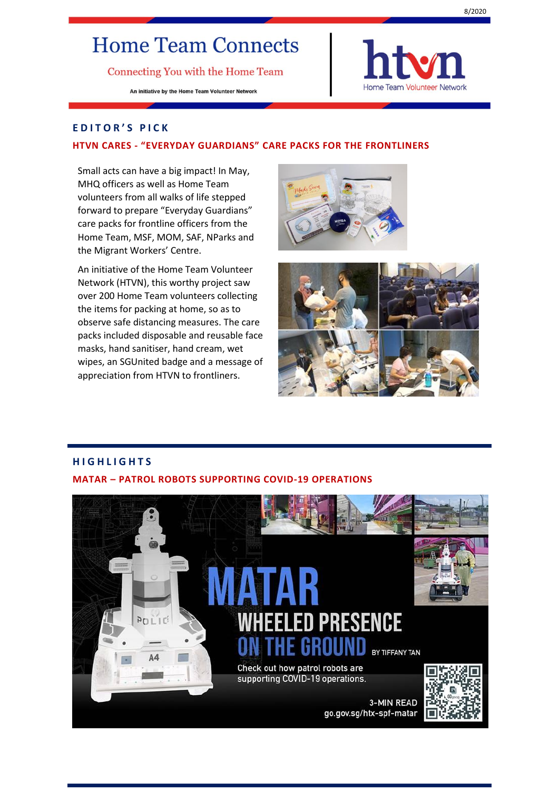# **Home Team Connects**

Connecting You with the Home Team

An initiative by the Home Team Volunteer Network



# **E D I T O R ' S P I C K**

#### **HTVN CARES - "EVERYDAY GUARDIANS" CARE PACKS FOR THE FRONTLINERS**

Small acts can have a big impact! In May, MHQ officers as well as Home Team volunteers from all walks of life stepped forward to prepare "Everyday Guardians" care packs for frontline officers from the Home Team, MSF, MOM, SAF, NParks and the Migrant Workers' Centre.

An initiative of the Home Team Volunteer Network (HTVN), this worthy project saw over 200 Home Team volunteers collecting the items for packing at home, so as to observe safe distancing measures. The care packs included disposable and reusable face masks, hand sanitiser, hand cream, wet wipes, an SGUnited badge and a message of appreciation from HTVN to frontliners.





# **H I G H L I G H T S MATAR – PATROL ROBOTS SUPPORTING COVID-19 OPERATIONS**

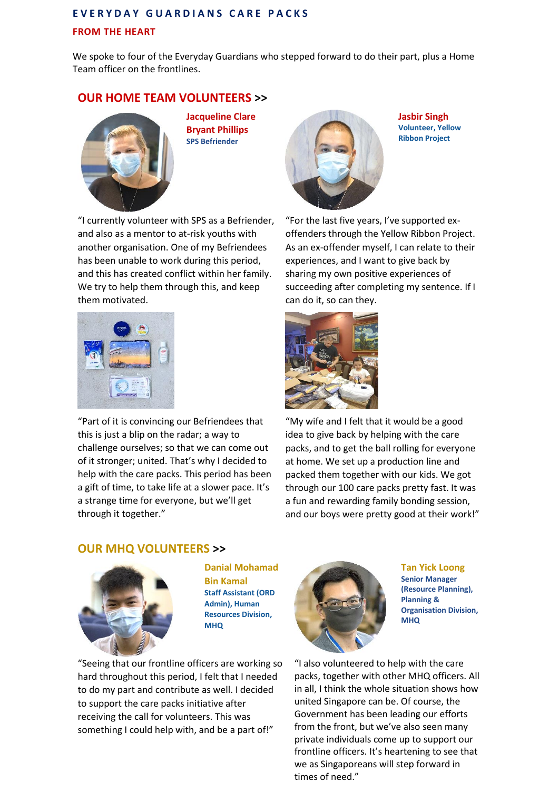# **E V E R Y D A Y G U A R D I A N S C A R E P A C K S FROM THE HEART**

We spoke to four of the Everyday Guardians who stepped forward to do their part, plus a Home Team officer on the frontlines.

# **OUR HOME TEAM VOLUNTEERS >>**



**Jacqueline Clare Bryant Phillips SPS Befriender**

"I currently volunteer with SPS as a Befriender, and also as a mentor to at-risk youths with another organisation. One of my Befriendees has been unable to work during this period, and this has created conflict within her family. We try to help them through this, and keep them motivated.



"Part of it is convincing our Befriendees that this is just a blip on the radar; a way to challenge ourselves; so that we can come out of it stronger; united. That's why I decided to help with the care packs. This period has been a gift of time, to take life at a slower pace. It's a strange time for everyone, but we'll get through it together."



**Jasbir Singh Volunteer, Yellow Ribbon Project**

"For the last five years, I've supported exoffenders through the Yellow Ribbon Project. As an ex-offender myself, I can relate to their experiences, and I want to give back by sharing my own positive experiences of succeeding after completing my sentence. If I can do it, so can they.



"My wife and I felt that it would be a good idea to give back by helping with the care packs, and to get the ball rolling for everyone at home. We set up a production line and packed them together with our kids. We got through our 100 care packs pretty fast. It was a fun and rewarding family bonding session, and our boys were pretty good at their work!"

# **OUR MHQ VOLUNTEERS >>**



**Danial Mohamad Bin Kamal Staff Assistant (ORD Admin), Human Resources Division, MHQ** 

"Seeing that our frontline officers are working so hard throughout this period, I felt that I needed to do my part and contribute as well. I decided to support the care packs initiative after receiving the call for volunteers. This was something I could help with, and be a part of!"



**Tan Yick Loong Senior Manager (Resource Planning), Planning & Organisation Division, MHQ**

"I also volunteered to help with the care packs, together with other MHQ officers. All in all, I think the whole situation shows how united Singapore can be. Of course, the Government has been leading our efforts from the front, but we've also seen many private individuals come up to support our frontline officers. It's heartening to see that we as Singaporeans will step forward in times of need."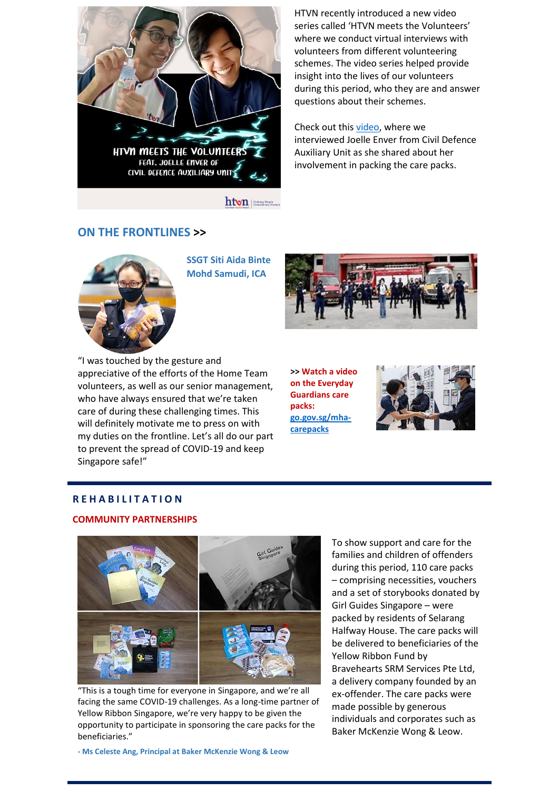

htvn | Steinary Propin

### **ON THE FRONTLINES >>**

**SSGT Siti Aida Binte Mohd Samudi, ICA**

HTVN recently introduced a new video series called 'HTVN meets the Volunteers' where we conduct virtual interviews with volunteers from different volunteering schemes. The video series helped provide insight into the lives of our volunteers during this period, who they are and answer questions about their schemes.

Check out this [video,](https://www.facebook.com/htvolunteers/videos/903720390129764/?) where we interviewed Joelle Enver from Civil Defence Auxiliary Unit as she shared about her involvement in packing the care packs.



"I was touched by the gesture and appreciative of the efforts of the Home Team volunteers, as well as our senior management, who have always ensured that we're taken care of during these challenging times. This will definitely motivate me to press on with my duties on the frontline. Let's all do our part to prevent the spread of COVID-19 and keep Singapore safe!"

**>> Watch a video on the Everyday Guardians care packs: [go.gov.sg/mha](https://m.facebook.com/watch/?v=298144274521345&_rdr)[carepacks](https://m.facebook.com/watch/?v=298144274521345&_rdr)**



#### **R E H A B I L I T A T I O N**

#### **COMMUNITY PARTNERSHIPS**



"This is a tough time for everyone in Singapore, and we're all facing the same COVID-19 challenges. As a long-time partner of Yellow Ribbon Singapore, we're very happy to be given the opportunity to participate in sponsoring the care packs for the beneficiaries."

To show support and care for the families and children of offenders during this period, 110 care packs – comprising necessities, vouchers and a set of storybooks donated by Girl Guides Singapore – were packed by residents of Selarang Halfway House. The care packs will be delivered to beneficiaries of the Yellow Ribbon Fund by Bravehearts SRM Services Pte Ltd, a delivery company founded by an ex-offender. The care packs were made possible by generous individuals and corporates such as Baker McKenzie Wong & Leow.

**- Ms Celeste Ang, Principal at Baker McKenzie Wong & Leow**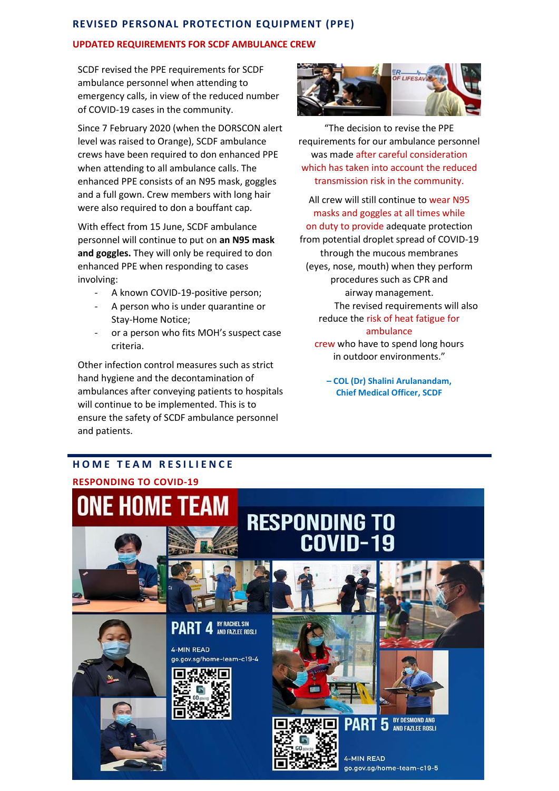## **REVISED PERSONAL PROTECTION EQUIPMENT (PPE)**

#### **UPDATED REQUIREMENTS FOR SCDF AMBULANCE CREW**

SCDF revised the PPE requirements for SCDF ambulance personnel when attending to emergency calls, in view of the reduced number of COVID-19 cases in the community.

Since 7 February 2020 (when the DORSCON alert level was raised to Orange), SCDF ambulance crews have been required to don enhanced PPE when attending to all ambulance calls. The enhanced PPE consists of an N95 mask, goggles and a full gown. Crew members with long hair were also required to don a bouffant cap.

With effect from 15 June, SCDF ambulance personnel will continue to put on **an N95 mask and goggles.** They will only be required to don enhanced PPE when responding to cases involving:

- A known COVID-19-positive person;
- A person who is under quarantine or Stay-Home Notice;
- or a person who fits MOH's suspect case criteria.

Other infection control measures such as strict hand hygiene and the decontamination of ambulances after conveying patients to hospitals will continue to be implemented. This is to ensure the safety of SCDF ambulance personnel and patients.



"The decision to revise the PPE requirements for our ambulance personnel was made after careful consideration which has taken into account the reduced transmission risk in the community.

All crew will still continue to wear N95 masks and goggles at all times while on duty to provide adequate protection from potential droplet spread of COVID-19 through the mucous membranes (eyes, nose, mouth) when they perform procedures such as CPR and airway management. The revised requirements will also reduce the risk of heat fatigue for ambulance crew who have to spend long hours in outdoor environments."

> **– COL (Dr) Shalini Arulanandam, Chief Medical Officer, SCDF**

# **HOME TEAM RESILIENCE**